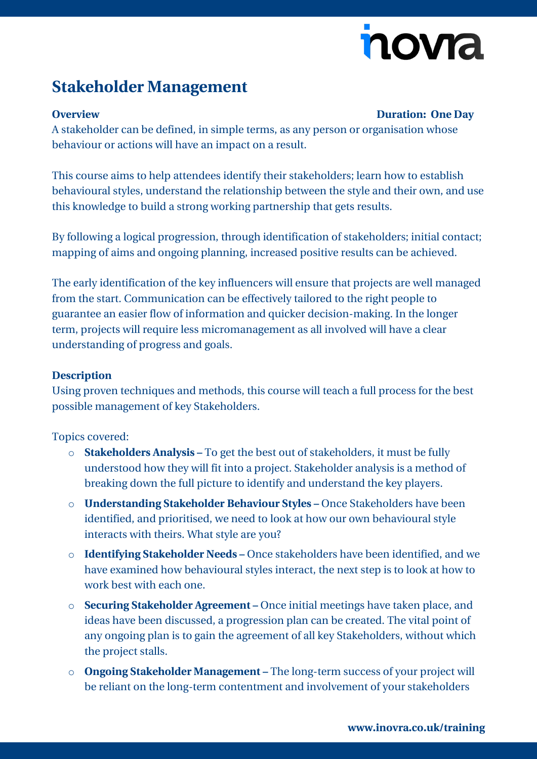# nova

## **Stakeholder Management**

#### **Overview Duration: One Day**

A stakeholder can be defined, in simple terms, as any person or organisation whose behaviour or actions will have an impact on a result.

This course aims to help attendees identify their stakeholders; learn how to establish behavioural styles, understand the relationship between the style and their own, and use this knowledge to build a strong working partnership that gets results.

By following a logical progression, through identification of stakeholders; initial contact; mapping of aims and ongoing planning, increased positive results can be achieved.

The early identification of the key influencers will ensure that projects are well managed from the start. Communication can be effectively tailored to the right people to guarantee an easier flow of information and quicker decision-making. In the longer term, projects will require less micromanagement as all involved will have a clear understanding of progress and goals.

#### **Description**

Using proven techniques and methods, this course will teach a full process for the best possible management of key Stakeholders.

#### Topics covered:

- o **Stakeholders Analysis –** To get the best out of stakeholders, it must be fully understood how they will fit into a project. Stakeholder analysis is a method of breaking down the full picture to identify and understand the key players.
- o **Understanding Stakeholder Behaviour Styles –** Once Stakeholders have been identified, and prioritised, we need to look at how our own behavioural style interacts with theirs. What style are you?
- o **Identifying Stakeholder Needs –** Once stakeholders have been identified, and we have examined how behavioural styles interact, the next step is to look at how to work best with each one.
- o **Securing Stakeholder Agreement –** Once initial meetings have taken place, and ideas have been discussed, a progression plan can be created. The vital point of any ongoing plan is to gain the agreement of all key Stakeholders, without which the project stalls.
- o **Ongoing Stakeholder Management –** The long-term success of your project will be reliant on the long-term contentment and involvement of your stakeholders